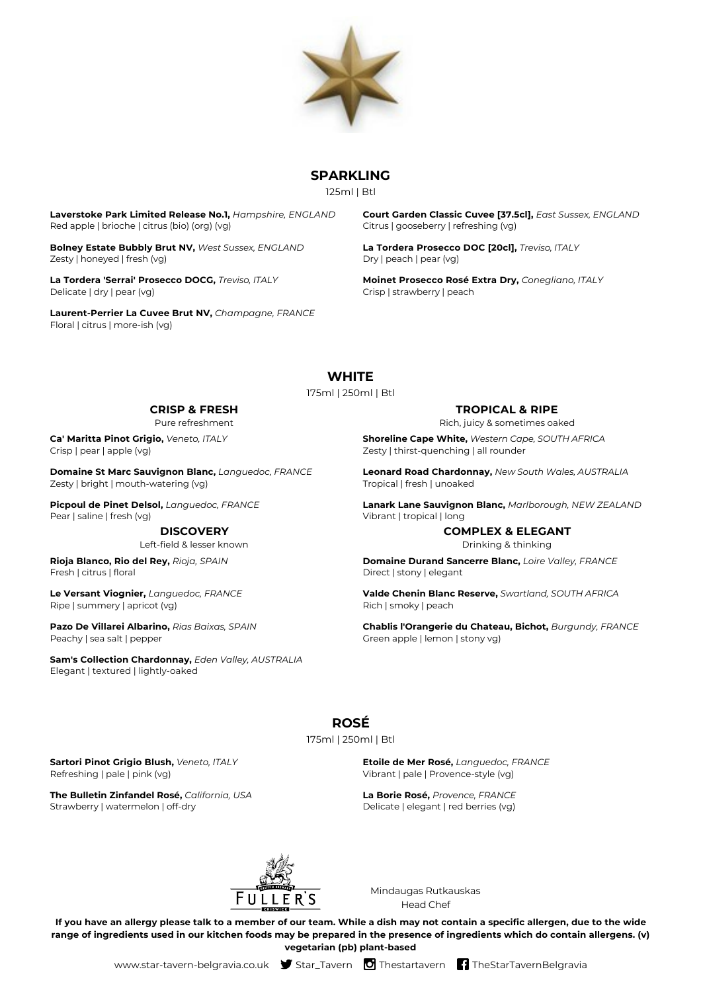

## **SPARKLING**

125ml | Btl

**Laverstoke Park Limited Release No.1,** *Hampshire, ENGLAND* Red apple | brioche | citrus (bio) (org) (vg)

**Bolney Estate Bubbly Brut NV,** *West Sussex, ENGLAND* Zesty | honeyed | fresh (vg)

**La Tordera 'Serrai' Prosecco DOCG,** *Treviso, ITALY* Delicate | dry | pear (vg)

**Laurent-Perrier La Cuvee Brut NV,** *Champagne, FRANCE* Floral | citrus | more-ish (vg)

**Court Garden Classic Cuvee [37.5cl],** *East Sussex, ENGLAND* Citrus | gooseberry | refreshing (vg)

**La Tordera Prosecco DOC [20cl],** *Treviso, ITALY* Dry | peach | pear (vg)

**Moinet Prosecco Rosé Extra Dry,** *Conegliano, ITALY* Crisp | strawberry | peach

# **WHITE**

#### 175ml | 250ml | Btl

## **CRISP & FRESH**

Pure refreshment

**Ca' Maritta Pinot Grigio,** *Veneto, ITALY* Crisp | pear | apple (vg)

**Domaine St Marc Sauvignon Blanc,** *Languedoc, FRANCE* Zesty | bright | mouth-watering (vg)

**Picpoul de Pinet Delsol,** *Languedoc, FRANCE* Pear I saline I fresh (vg)

#### **DISCOVERY**

Left-field & lesser known

**Rioja Blanco, Rio del Rey,** *Rioja, SPAIN* Fresh | citrus | floral

**Le Versant Viognier,** *Languedoc, FRANCE* Ripe | summery | apricot (vg)

**Pazo De Villarei Albarino,** *Rias Baixas, SPAIN* Peachy | sea salt | pepper

**Sam's Collection Chardonnay,** *Eden Valley, AUSTRALIA* Elegant | textured | lightly-oaked

### **TROPICAL & RIPE**

Rich, juicy & sometimes oaked

**Shoreline Cape White,** *Western Cape, SOUTH AFRICA* Zesty | thirst-quenching | all rounder

**Leonard Road Chardonnay,** *New South Wales, AUSTRALIA* Tropical | fresh | unoaked

**Lanark Lane Sauvignon Blanc,** *Marlborough, NEW ZEALAND* Vibrant | tropical | long

## **COMPLEX & ELEGANT**

Drinking & thinking

**Domaine Durand Sancerre Blanc,** *Loire Valley, FRANCE* Direct | stony | elegant

**Valde Chenin Blanc Reserve,** *Swartland, SOUTH AFRICA* Rich | smoky | peach

**Chablis l'Orangerie du Chateau, Bichot,** *Burgundy, FRANCE* Green apple | lemon | stony vg)

# **ROSÉ**

175ml | 250ml | Btl

#### **Sartori Pinot Grigio Blush,** *Veneto, ITALY* Refreshing | pale | pink (vg)

**The Bulletin Zinfandel Rosé,** *California, USA* Strawberry | watermelon | off-dry

**Etoile de Mer Rosé,** *Languedoc, FRANCE* Vibrant | pale | Provence-style (vg)

**La Borie Rosé,** *Provence, FRANCE* Delicate | elegant | red berries (vg)



Mindaugas Rutkauskas Head Chef

**If you have an allergy please talk to a member of our team. While a dish may not contain a specific allergen, due to the wide range of ingredients used in our kitchen foods may be prepared in the presence of ingredients which do contain allergens. (v) vegetarian (pb) plant-based**